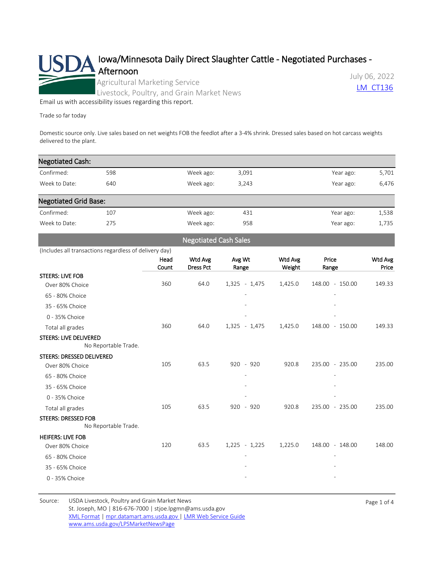

[Email us with accessibility issues regarding this report.](mailto:mpr.lpgmn@ams.usda.gov?subject=508%20Issue)

Trade so far today

Domestic source only. Live sales based on net weights FOB the feedlot after a 3-4% shrink. Dressed sales based on hot carcass weights delivered to the plant.

| <b>Negotiated Cash:</b>      |                                                                |                                                                                                                      |                                             |                                                                     |                          |                                             |
|------------------------------|----------------------------------------------------------------|----------------------------------------------------------------------------------------------------------------------|---------------------------------------------|---------------------------------------------------------------------|--------------------------|---------------------------------------------|
| 598                          |                                                                | Week ago:                                                                                                            | 3,091                                       |                                                                     | Year ago:                |                                             |
| 640                          |                                                                | Week ago:                                                                                                            | 3,243                                       |                                                                     | Year ago:                | 6,476                                       |
| <b>Negotiated Grid Base:</b> |                                                                |                                                                                                                      |                                             |                                                                     |                          |                                             |
| 107                          |                                                                | Week ago:                                                                                                            | 431                                         |                                                                     | Year ago:                | 1,538                                       |
| 275                          |                                                                | Week ago:                                                                                                            | 958                                         |                                                                     | Year ago:                | 1,735                                       |
|                              |                                                                |                                                                                                                      |                                             |                                                                     |                          |                                             |
|                              |                                                                |                                                                                                                      |                                             |                                                                     |                          |                                             |
|                              | Head<br>Count                                                  |                                                                                                                      | Avg Wt                                      | Wtd Avg                                                             | Price                    | Wtd Avg<br>Price                            |
|                              |                                                                |                                                                                                                      |                                             |                                                                     |                          |                                             |
| Over 80% Choice              | 360                                                            | 64.0                                                                                                                 | $1,325 - 1,475$                             | 1,425.0                                                             | 148.00 - 150.00          | 149.33                                      |
|                              |                                                                |                                                                                                                      |                                             |                                                                     |                          |                                             |
|                              |                                                                |                                                                                                                      |                                             |                                                                     |                          |                                             |
|                              |                                                                |                                                                                                                      |                                             |                                                                     |                          |                                             |
|                              | 360                                                            | 64.0                                                                                                                 | $1,325 - 1,475$                             | 1,425.0                                                             | 148.00 - 150.00          | 149.33                                      |
| STEERS: LIVE DELIVERED       |                                                                |                                                                                                                      |                                             |                                                                     |                          |                                             |
|                              |                                                                |                                                                                                                      |                                             |                                                                     |                          |                                             |
|                              |                                                                |                                                                                                                      |                                             |                                                                     |                          | 235.00                                      |
|                              |                                                                |                                                                                                                      |                                             |                                                                     |                          |                                             |
|                              |                                                                |                                                                                                                      |                                             |                                                                     |                          |                                             |
|                              |                                                                |                                                                                                                      |                                             |                                                                     |                          |                                             |
|                              |                                                                |                                                                                                                      |                                             |                                                                     |                          | 235.00                                      |
|                              |                                                                |                                                                                                                      |                                             |                                                                     |                          |                                             |
|                              |                                                                |                                                                                                                      |                                             |                                                                     |                          |                                             |
|                              |                                                                |                                                                                                                      |                                             |                                                                     |                          |                                             |
| Over 80% Choice              | 120                                                            | 63.5                                                                                                                 | $1,225 - 1,225$                             | 1,225.0                                                             | 148.00 - 148.00          | 148.00                                      |
|                              |                                                                |                                                                                                                      |                                             |                                                                     |                          |                                             |
|                              |                                                                |                                                                                                                      |                                             |                                                                     |                          |                                             |
|                              |                                                                |                                                                                                                      |                                             |                                                                     |                          |                                             |
| Over 80% Choice              | <b>STEERS: DRESSED DELIVERED</b><br><b>STEERS: DRESSED FOB</b> | (Includes all transactions regardless of delivery day)<br>No Reportable Trade.<br>105<br>105<br>No Reportable Trade. | Wtd Avg<br><b>Dress Pct</b><br>63.5<br>63.5 | <b>Negotiated Cash Sales</b><br>Range<br>$920 - 920$<br>$920 - 920$ | Weight<br>920.8<br>920.8 | Range<br>235.00 - 235.00<br>235.00 - 235.00 |

Source: USDA Livestock, Poultry and Grain Market News St. Joseph, MO | 816-676-7000 | stjoe.lpgmn@ams.usda.gov [XML Format](https://mpr.datamart.ams.usda.gov/ws/report/v1/cattle/LM_CT136?filter=%7B%22filters%22:%5B%7B%22fieldName%22:%22Report%20date%22,%22operatorType%22:%22EQUAL%22,%22values%22:%5B%227/6/2022%22%5D%7D%5D%7D) | [mpr.datamart.ams.usda.gov](https://mpr.datamart.ams.usda.gov/) | [LMR Web Service Guide](https://www.marketnews.usda.gov/mnp/assets/ls/USDA-LMR-WebService-Client-User-Guide-v1_prod.pdf) [www.ams.usda.gov/LPSMarketNewsPage](https://www.ams.usda.gov/LPSMarketNewsPage)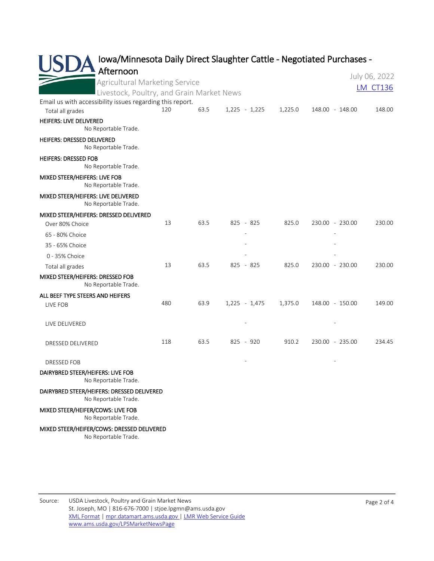|                                                                               |     |      |                 |         | Iowa/Minnesota Daily Direct Slaughter Cattle - Negotiated Purchases - |                 |
|-------------------------------------------------------------------------------|-----|------|-----------------|---------|-----------------------------------------------------------------------|-----------------|
| Afternoon                                                                     |     |      |                 |         |                                                                       | July 06, 2022   |
| Agricultural Marketing Service                                                |     |      |                 |         |                                                                       | <b>LM CT136</b> |
| Livestock, Poultry, and Grain Market News                                     |     |      |                 |         |                                                                       |                 |
| Email us with accessibility issues regarding this report.<br>Total all grades | 120 | 63.5 | $1,225 - 1,225$ | 1,225.0 | 148.00 - 148.00                                                       | 148.00          |
| HEIFERS: LIVE DELIVERED<br>No Reportable Trade.                               |     |      |                 |         |                                                                       |                 |
| <b>HEIFERS: DRESSED DELIVERED</b><br>No Reportable Trade.                     |     |      |                 |         |                                                                       |                 |
| <b>HEIFERS: DRESSED FOB</b><br>No Reportable Trade.                           |     |      |                 |         |                                                                       |                 |
| MIXED STEER/HEIFERS: LIVE FOB<br>No Reportable Trade.                         |     |      |                 |         |                                                                       |                 |
| MIXED STEER/HEIFERS: LIVE DELIVERED<br>No Reportable Trade.                   |     |      |                 |         |                                                                       |                 |
| MIXED STEER/HEIFERS: DRESSED DELIVERED                                        |     |      |                 |         |                                                                       |                 |
| Over 80% Choice                                                               | 13  | 63.5 | 825 - 825       | 825.0   | 230.00 - 230.00                                                       | 230.00          |
| 65 - 80% Choice                                                               |     |      |                 |         |                                                                       |                 |
| 35 - 65% Choice                                                               |     |      |                 |         |                                                                       |                 |
| 0 - 35% Choice                                                                |     |      |                 |         |                                                                       |                 |
| Total all grades                                                              | 13  | 63.5 | 825 - 825       | 825.0   | 230.00 - 230.00                                                       | 230.00          |
| MIXED STEER/HEIFERS: DRESSED FOB<br>No Reportable Trade.                      |     |      |                 |         |                                                                       |                 |
| ALL BEEF TYPE STEERS AND HEIFERS                                              |     |      |                 |         |                                                                       |                 |
| LIVE FOB                                                                      | 480 | 63.9 | $1,225 - 1,475$ | 1,375.0 | 148.00 - 150.00                                                       | 149.00          |
| LIVE DELIVERED                                                                |     |      |                 |         |                                                                       |                 |
| DRESSED DELIVERED                                                             | 118 | 63.5 | 825 - 920       | 910.2   | 230.00 - 235.00                                                       | 234.45          |
| DRESSED FOB                                                                   |     |      |                 |         |                                                                       |                 |
| DAIRYBRED STEER/HEIFERS: LIVE FOB<br>No Reportable Trade.                     |     |      |                 |         |                                                                       |                 |
| DAIRYBRED STEER/HEIFERS: DRESSED DELIVERED<br>No Reportable Trade.            |     |      |                 |         |                                                                       |                 |
| MIXED STEER/HEIFER/COWS: LIVE FOB                                             |     |      |                 |         |                                                                       |                 |

No Reportable Trade.

## MIXED STEER/HEIFER/COWS: DRESSED DELIVERED

No Reportable Trade.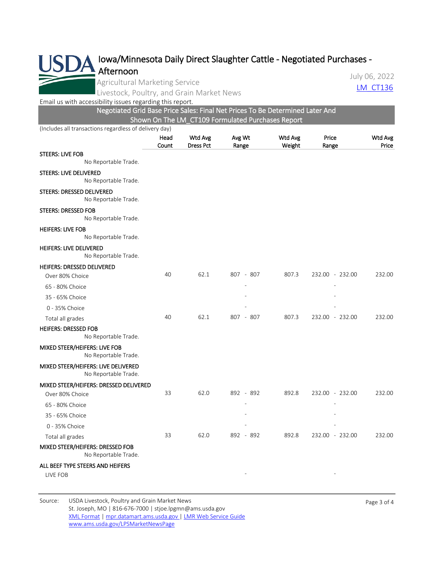

Agricultural Marketing Service

July 06, 2022

Livestock, Poultry, and Grain Market News Later and Control and CT136

[Email us with accessibility issues regarding this report.](mailto:mpr.lpgmn@ams.usda.gov?subject=508%20Issue)

Negotiated Grid Base Price Sales: Final Net Prices To Be Determined Later And Shown On The LM\_CT109 Formulated Purchases Report

(Includes all transactions regardless of delivery day)

|                                                             | Head<br>Count | Wtd Avg<br><b>Dress Pct</b> | Avg Wt<br>Range |        | Price<br>Range  | Wtd Avg<br>Price |
|-------------------------------------------------------------|---------------|-----------------------------|-----------------|--------|-----------------|------------------|
| <b>STEERS: LIVE FOB</b>                                     |               |                             |                 | Weight |                 |                  |
| No Reportable Trade.                                        |               |                             |                 |        |                 |                  |
| STEERS: LIVE DELIVERED<br>No Reportable Trade.              |               |                             |                 |        |                 |                  |
| STEERS: DRESSED DELIVERED<br>No Reportable Trade.           |               |                             |                 |        |                 |                  |
| <b>STEERS: DRESSED FOB</b><br>No Reportable Trade.          |               |                             |                 |        |                 |                  |
| <b>HEIFERS: LIVE FOB</b><br>No Reportable Trade.            |               |                             |                 |        |                 |                  |
| <b>HEIFERS: LIVE DELIVERED</b><br>No Reportable Trade.      |               |                             |                 |        |                 |                  |
| <b>HEIFERS: DRESSED DELIVERED</b>                           |               |                             |                 |        |                 |                  |
| Over 80% Choice                                             | 40            | 62.1                        | 807 - 807       | 807.3  | 232.00 - 232.00 | 232.00           |
| 65 - 80% Choice                                             |               |                             |                 |        |                 |                  |
| 35 - 65% Choice                                             |               |                             |                 |        |                 |                  |
| 0 - 35% Choice                                              |               |                             |                 |        |                 |                  |
| Total all grades                                            | 40            | 62.1                        | 807 - 807       | 807.3  | 232.00 - 232.00 | 232.00           |
| <b>HEIFERS: DRESSED FOB</b><br>No Reportable Trade.         |               |                             |                 |        |                 |                  |
| MIXED STEER/HEIFERS: LIVE FOB<br>No Reportable Trade.       |               |                             |                 |        |                 |                  |
| MIXED STEER/HEIFERS: LIVE DELIVERED<br>No Reportable Trade. |               |                             |                 |        |                 |                  |
| MIXED STEER/HEIFERS: DRESSED DELIVERED                      |               |                             |                 |        |                 |                  |
| Over 80% Choice                                             | 33            | 62.0                        | 892 - 892       | 892.8  | 232.00 - 232.00 | 232.00           |
| 65 - 80% Choice                                             |               |                             |                 |        |                 |                  |
| 35 - 65% Choice                                             |               |                             |                 |        |                 |                  |
| 0 - 35% Choice                                              |               |                             |                 |        |                 |                  |
| Total all grades                                            | 33            | 62.0                        | 892 - 892       | 892.8  | 232.00 - 232.00 | 232.00           |
| MIXED STEER/HEIFERS: DRESSED FOB<br>No Reportable Trade.    |               |                             |                 |        |                 |                  |
| ALL BEEF TYPE STEERS AND HEIFERS                            |               |                             |                 |        |                 |                  |
| LIVE FOB                                                    |               |                             |                 |        |                 |                  |
|                                                             |               |                             |                 |        |                 |                  |

Source: USDA Livestock, Poultry and Grain Market News St. Joseph, MO | 816-676-7000 | stjoe.lpgmn@ams.usda.gov [XML Format](https://mpr.datamart.ams.usda.gov/ws/report/v1/cattle/LM_CT136?filter=%7B%22filters%22:%5B%7B%22fieldName%22:%22Report%20date%22,%22operatorType%22:%22EQUAL%22,%22values%22:%5B%227/6/2022%22%5D%7D%5D%7D) | [mpr.datamart.ams.usda.gov](https://mpr.datamart.ams.usda.gov/) | [LMR Web Service Guide](https://www.marketnews.usda.gov/mnp/assets/ls/USDA-LMR-WebService-Client-User-Guide-v1_prod.pdf) [www.ams.usda.gov/LPSMarketNewsPage](https://www.ams.usda.gov/LPSMarketNewsPage)